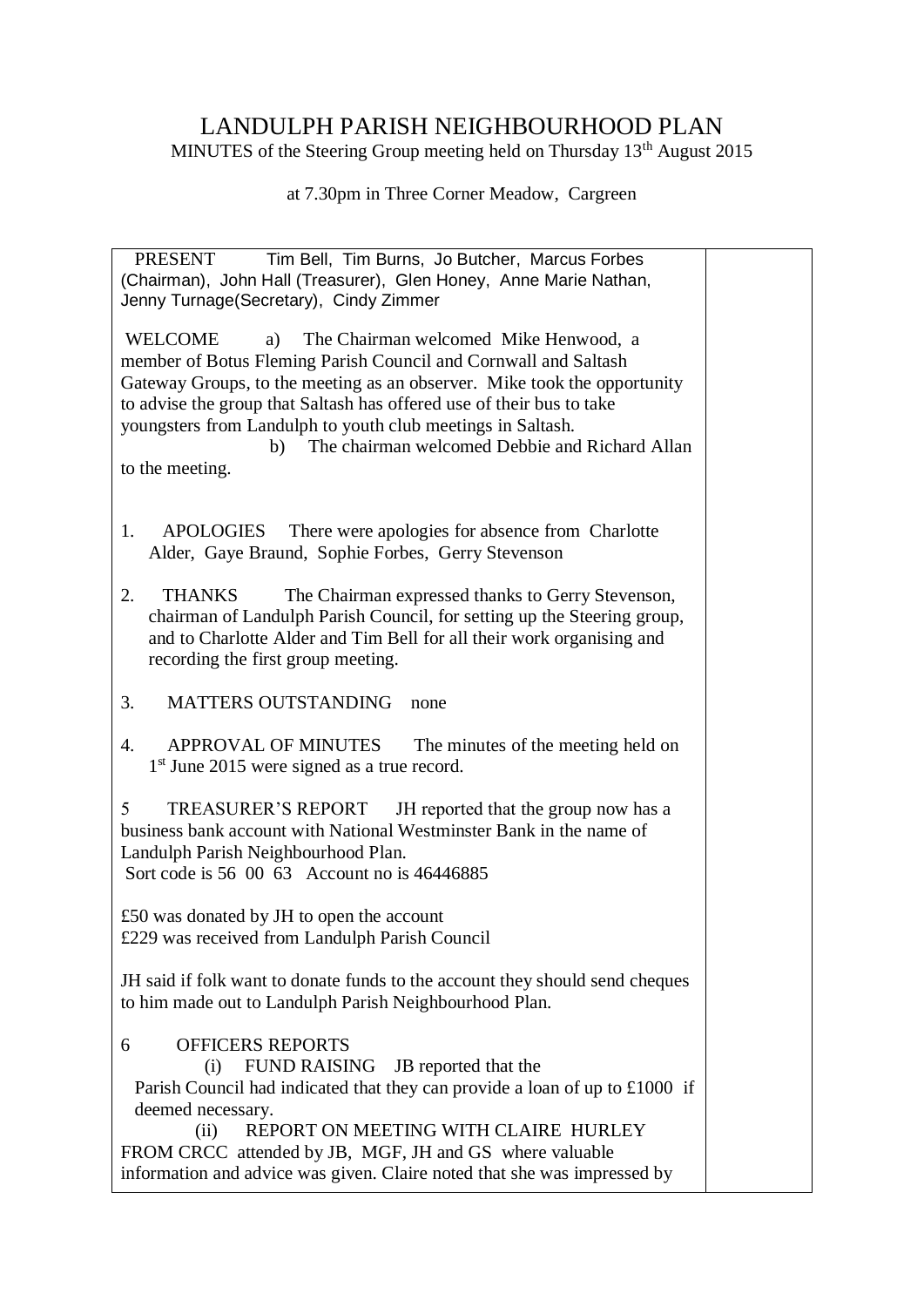## LANDULPH PARISH NEIGHBOURHOOD PLAN

MINUTES of the Steering Group meeting held on Thursday 13<sup>th</sup> August 2015

at 7.30pm in Three Corner Meadow, Cargreen

PRESENT Tim Bell, Tim Burns, Jo Butcher, Marcus Forbes (Chairman), John Hall (Treasurer), Glen Honey, Anne Marie Nathan, Jenny Turnage(Secretary), Cindy Zimmer

WELCOME a) The Chairman welcomed Mike Henwood, a member of Botus Fleming Parish Council and Cornwall and Saltash Gateway Groups, to the meeting as an observer. Mike took the opportunity to advise the group that Saltash has offered use of their bus to take youngsters from Landulph to youth club meetings in Saltash.

 b) The chairman welcomed Debbie and Richard Allan to the meeting.

- 1. APOLOGIES There were apologies for absence from Charlotte Alder, Gaye Braund, Sophie Forbes, Gerry Stevenson
- 2. THANKS The Chairman expressed thanks to Gerry Stevenson, chairman of Landulph Parish Council, for setting up the Steering group, and to Charlotte Alder and Tim Bell for all their work organising and recording the first group meeting.
- 3. MATTERS OUTSTANDING none
- 4. APPROVAL OF MINUTES The minutes of the meeting held on 1<sup>st</sup> June 2015 were signed as a true record.

5 TREASURER'S REPORT JH reported that the group now has a business bank account with National Westminster Bank in the name of Landulph Parish Neighbourhood Plan. Sort code is 56 00 63 Account no is 46446885

£50 was donated by JH to open the account £229 was received from Landulph Parish Council

JH said if folk want to donate funds to the account they should send cheques to him made out to Landulph Parish Neighbourhood Plan.

6 OFFICERS REPORTS

 (i) FUND RAISING JB reported that the Parish Council had indicated that they can provide a loan of up to £1000 if deemed necessary.

 (ii) REPORT ON MEETING WITH CLAIRE HURLEY FROM CRCC attended by JB, MGF, JH and GS where valuable information and advice was given. Claire noted that she was impressed by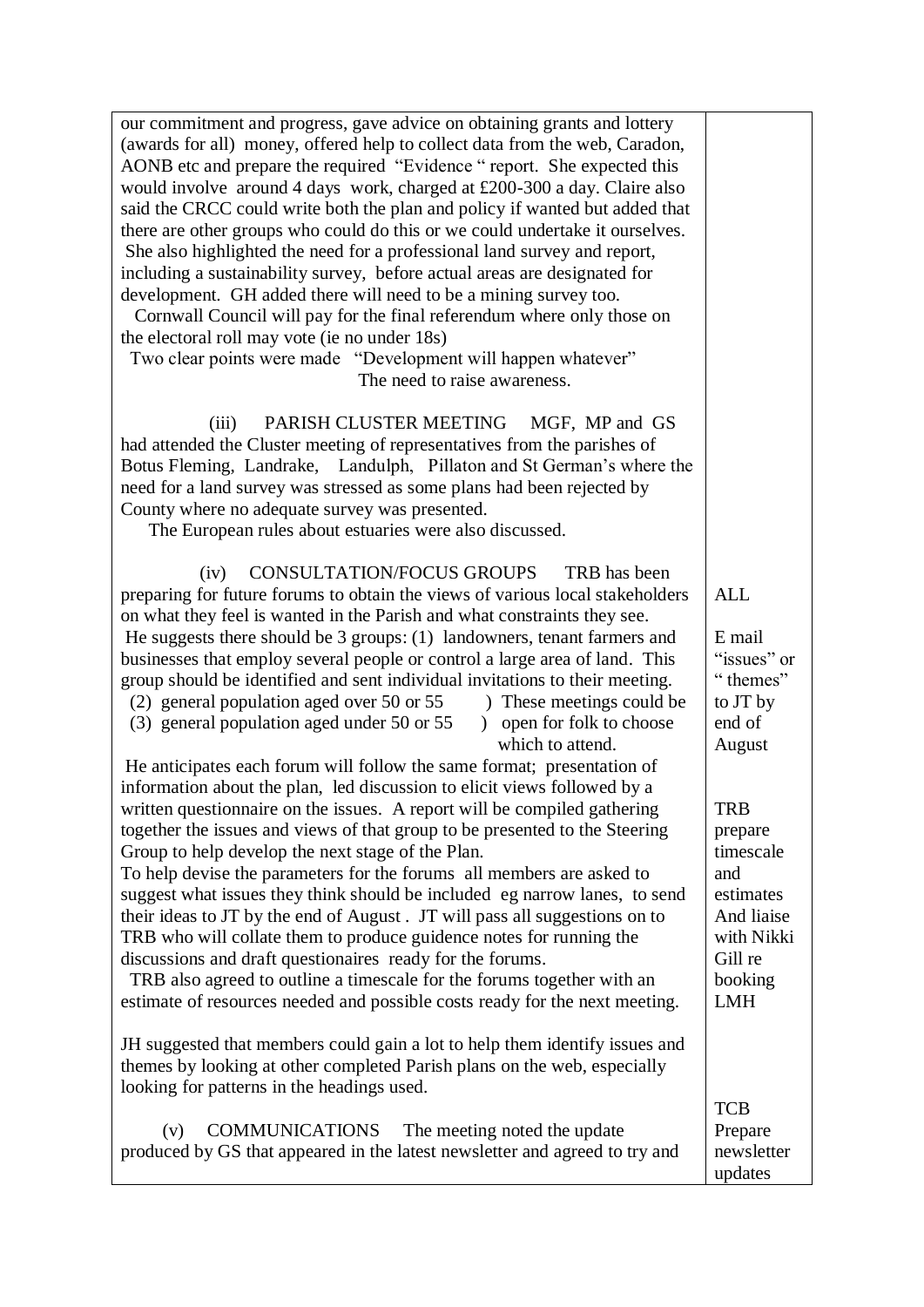| our commitment and progress, gave advice on obtaining grants and lottery<br>(awards for all) money, offered help to collect data from the web, Caradon,<br>AONB etc and prepare the required "Evidence" report. She expected this<br>would involve around 4 days work, charged at £200-300 a day. Claire also<br>said the CRCC could write both the plan and policy if wanted but added that<br>there are other groups who could do this or we could undertake it ourselves.<br>She also highlighted the need for a professional land survey and report,<br>including a sustainability survey, before actual areas are designated for<br>development. GH added there will need to be a mining survey too.<br>Cornwall Council will pay for the final referendum where only those on<br>the electoral roll may vote (ie no under 18s)<br>Two clear points were made "Development will happen whatever"<br>The need to raise awareness.                                                                                                                                                                                                                                                                                                                                                                                                                                                                                                                                                                                                   |                                                                                                                                                                                                           |
|-----------------------------------------------------------------------------------------------------------------------------------------------------------------------------------------------------------------------------------------------------------------------------------------------------------------------------------------------------------------------------------------------------------------------------------------------------------------------------------------------------------------------------------------------------------------------------------------------------------------------------------------------------------------------------------------------------------------------------------------------------------------------------------------------------------------------------------------------------------------------------------------------------------------------------------------------------------------------------------------------------------------------------------------------------------------------------------------------------------------------------------------------------------------------------------------------------------------------------------------------------------------------------------------------------------------------------------------------------------------------------------------------------------------------------------------------------------------------------------------------------------------------------------------|-----------------------------------------------------------------------------------------------------------------------------------------------------------------------------------------------------------|
| PARISH CLUSTER MEETING MGF, MP and GS<br>(iii)<br>had attended the Cluster meeting of representatives from the parishes of<br>Botus Fleming, Landrake, Landulph, Pillaton and St German's where the<br>need for a land survey was stressed as some plans had been rejected by<br>County where no adequate survey was presented.<br>The European rules about estuaries were also discussed.                                                                                                                                                                                                                                                                                                                                                                                                                                                                                                                                                                                                                                                                                                                                                                                                                                                                                                                                                                                                                                                                                                                                              |                                                                                                                                                                                                           |
| CONSULTATION/FOCUS GROUPS TRB has been<br>(iv)<br>preparing for future forums to obtain the views of various local stakeholders<br>on what they feel is wanted in the Parish and what constraints they see.<br>He suggests there should be 3 groups: (1) landowners, tenant farmers and<br>businesses that employ several people or control a large area of land. This<br>group should be identified and sent individual invitations to their meeting.<br>(2) general population aged over 50 or 55<br>) These meetings could be<br>(3) general population aged under 50 or 55<br>) open for folk to choose<br>which to attend.<br>He anticipates each forum will follow the same format; presentation of<br>information about the plan, led discussion to elicit views followed by a<br>written questionnaire on the issues. A report will be compiled gathering<br>together the issues and views of that group to be presented to the Steering<br>Group to help develop the next stage of the Plan.<br>To help devise the parameters for the forums all members are asked to<br>suggest what issues they think should be included eg narrow lanes, to send<br>their ideas to JT by the end of August. JT will pass all suggestions on to<br>TRB who will collate them to produce guidence notes for running the<br>discussions and draft questionaires ready for the forums.<br>TRB also agreed to outline a timescale for the forums together with an<br>estimate of resources needed and possible costs ready for the next meeting. | <b>ALL</b><br>E mail<br>"issues" or<br>"themes"<br>to JT by<br>end of<br>August<br><b>TRB</b><br>prepare<br>timescale<br>and<br>estimates<br>And liaise<br>with Nikki<br>Gill re<br>booking<br><b>LMH</b> |
| JH suggested that members could gain a lot to help them identify issues and<br>themes by looking at other completed Parish plans on the web, especially<br>looking for patterns in the headings used.                                                                                                                                                                                                                                                                                                                                                                                                                                                                                                                                                                                                                                                                                                                                                                                                                                                                                                                                                                                                                                                                                                                                                                                                                                                                                                                                   | <b>TCB</b>                                                                                                                                                                                                |
| <b>COMMUNICATIONS</b><br>The meeting noted the update<br>(v)<br>produced by GS that appeared in the latest newsletter and agreed to try and                                                                                                                                                                                                                                                                                                                                                                                                                                                                                                                                                                                                                                                                                                                                                                                                                                                                                                                                                                                                                                                                                                                                                                                                                                                                                                                                                                                             | Prepare<br>newsletter<br>updates                                                                                                                                                                          |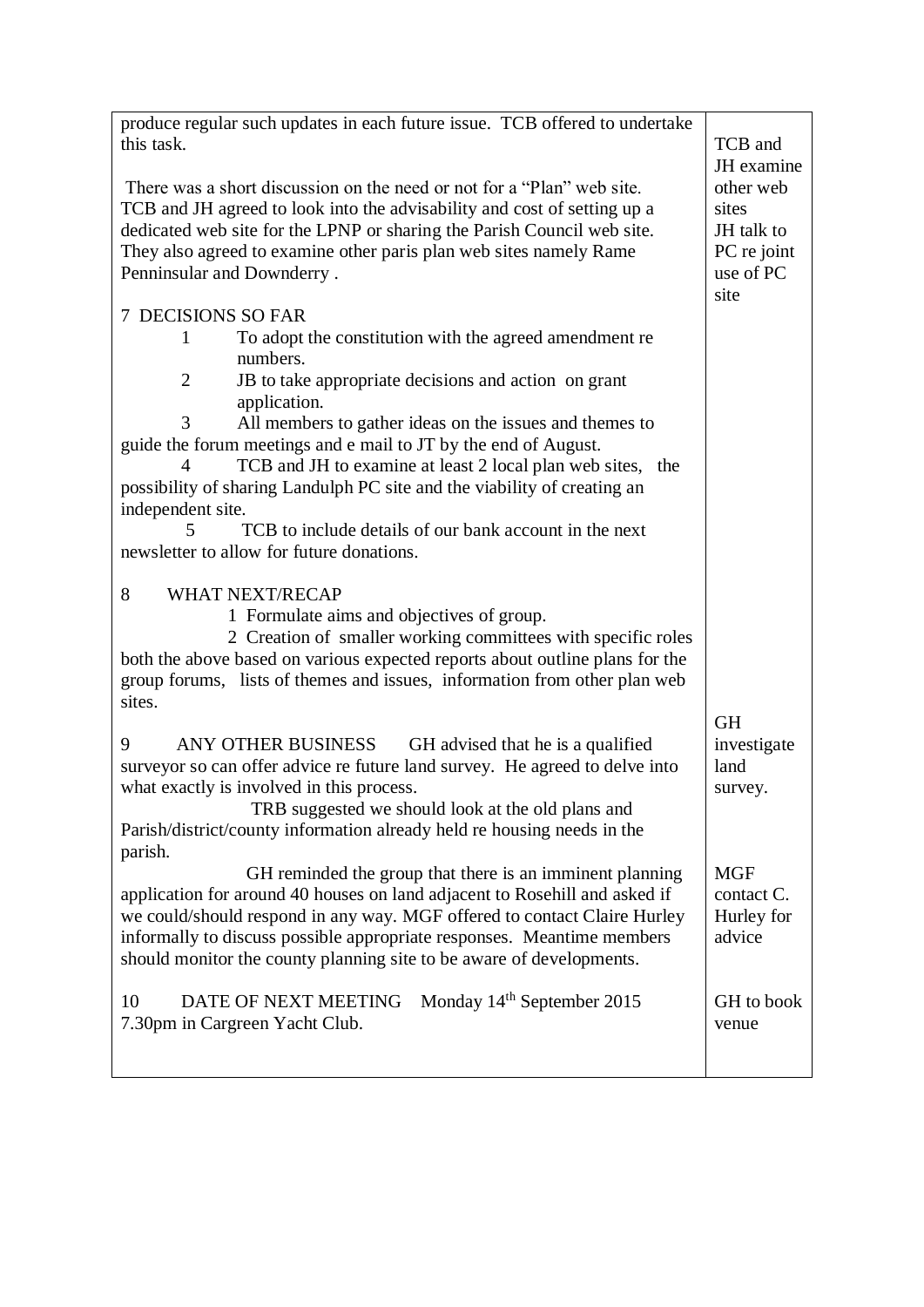| produce regular such updates in each future issue. TCB offered to undertake<br>this task. | TCB and     |
|-------------------------------------------------------------------------------------------|-------------|
|                                                                                           | JH examine  |
| There was a short discussion on the need or not for a "Plan" web site.                    | other web   |
| TCB and JH agreed to look into the advisability and cost of setting up a                  | sites       |
| dedicated web site for the LPNP or sharing the Parish Council web site.                   | JH talk to  |
| They also agreed to examine other paris plan web sites namely Rame                        | PC re joint |
| Penninsular and Downderry.                                                                | use of PC   |
|                                                                                           | site        |
| <b>7 DECISIONS SO FAR</b>                                                                 |             |
| To adopt the constitution with the agreed amendment re<br>1<br>numbers.                   |             |
| $\overline{2}$<br>JB to take appropriate decisions and action on grant<br>application.    |             |
| 3<br>All members to gather ideas on the issues and themes to                              |             |
| guide the forum meetings and e mail to JT by the end of August.                           |             |
| TCB and JH to examine at least 2 local plan web sites, the<br>4                           |             |
| possibility of sharing Landulph PC site and the viability of creating an                  |             |
| independent site.                                                                         |             |
| TCB to include details of our bank account in the next<br>5                               |             |
| newsletter to allow for future donations.                                                 |             |
|                                                                                           |             |
| 8<br><b>WHAT NEXT/RECAP</b>                                                               |             |
| 1 Formulate aims and objectives of group.                                                 |             |
| 2 Creation of smaller working committees with specific roles                              |             |
| both the above based on various expected reports about outline plans for the              |             |
| group forums, lists of themes and issues, information from other plan web                 |             |
| sites.                                                                                    |             |
|                                                                                           | <b>GH</b>   |
| 9<br><b>ANY OTHER BUSINESS</b><br>GH advised that he is a qualified                       | investigate |
| surveyor so can offer advice re future land survey. He agreed to delve into               | land        |
| what exactly is involved in this process.                                                 | survey.     |
| TRB suggested we should look at the old plans and                                         |             |
| Parish/district/county information already held re housing needs in the                   |             |
| parish.                                                                                   |             |
| GH reminded the group that there is an imminent planning                                  | <b>MGF</b>  |
| application for around 40 houses on land adjacent to Rosehill and asked if                | contact C.  |
| we could/should respond in any way. MGF offered to contact Claire Hurley                  | Hurley for  |
| informally to discuss possible appropriate responses. Meantime members                    | advice      |
| should monitor the county planning site to be aware of developments.                      |             |
|                                                                                           |             |
| Monday $14th$ September 2015<br>DATE OF NEXT MEETING<br>10                                | GH to book  |
| 7.30pm in Cargreen Yacht Club.                                                            | venue       |
|                                                                                           |             |
|                                                                                           |             |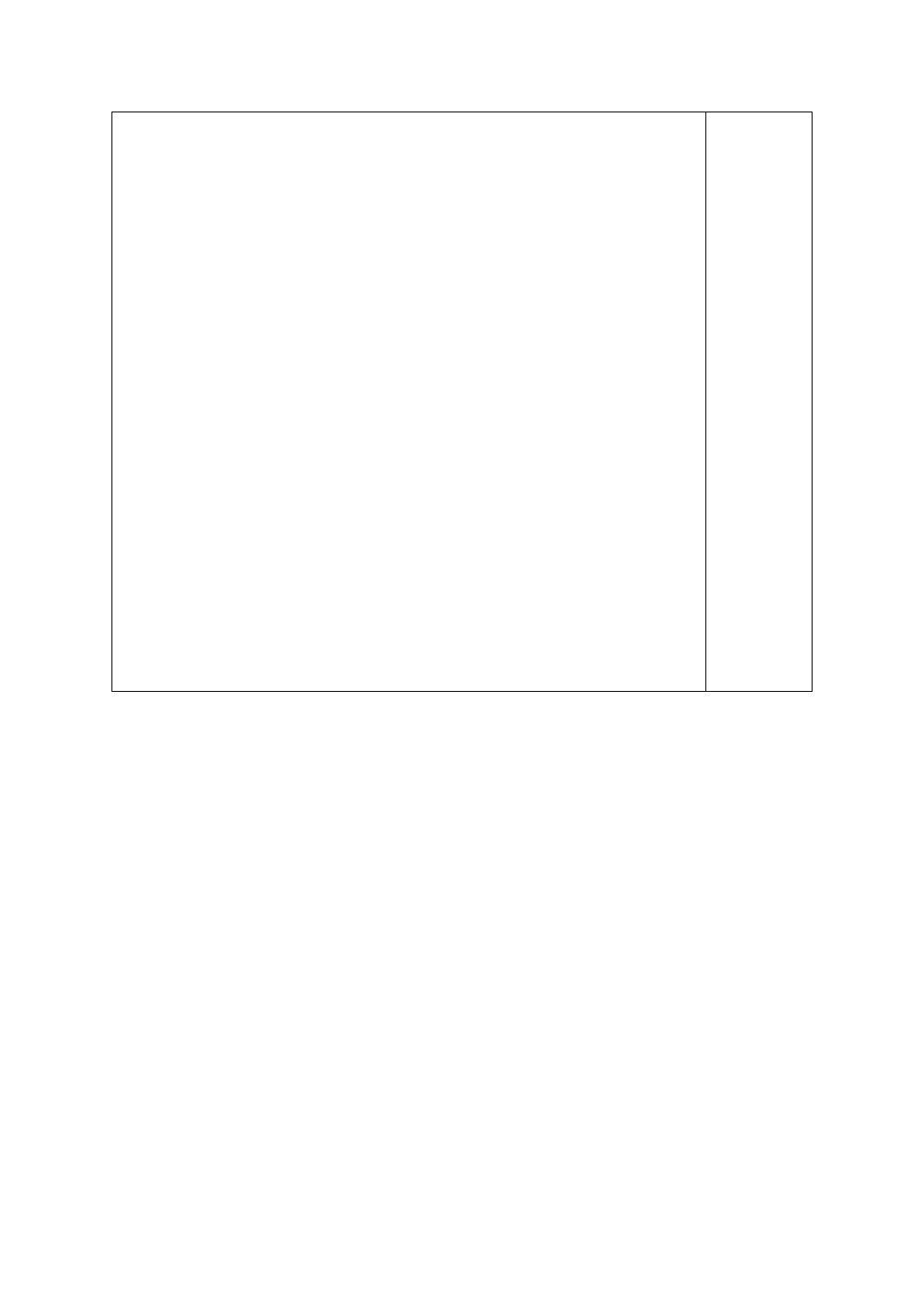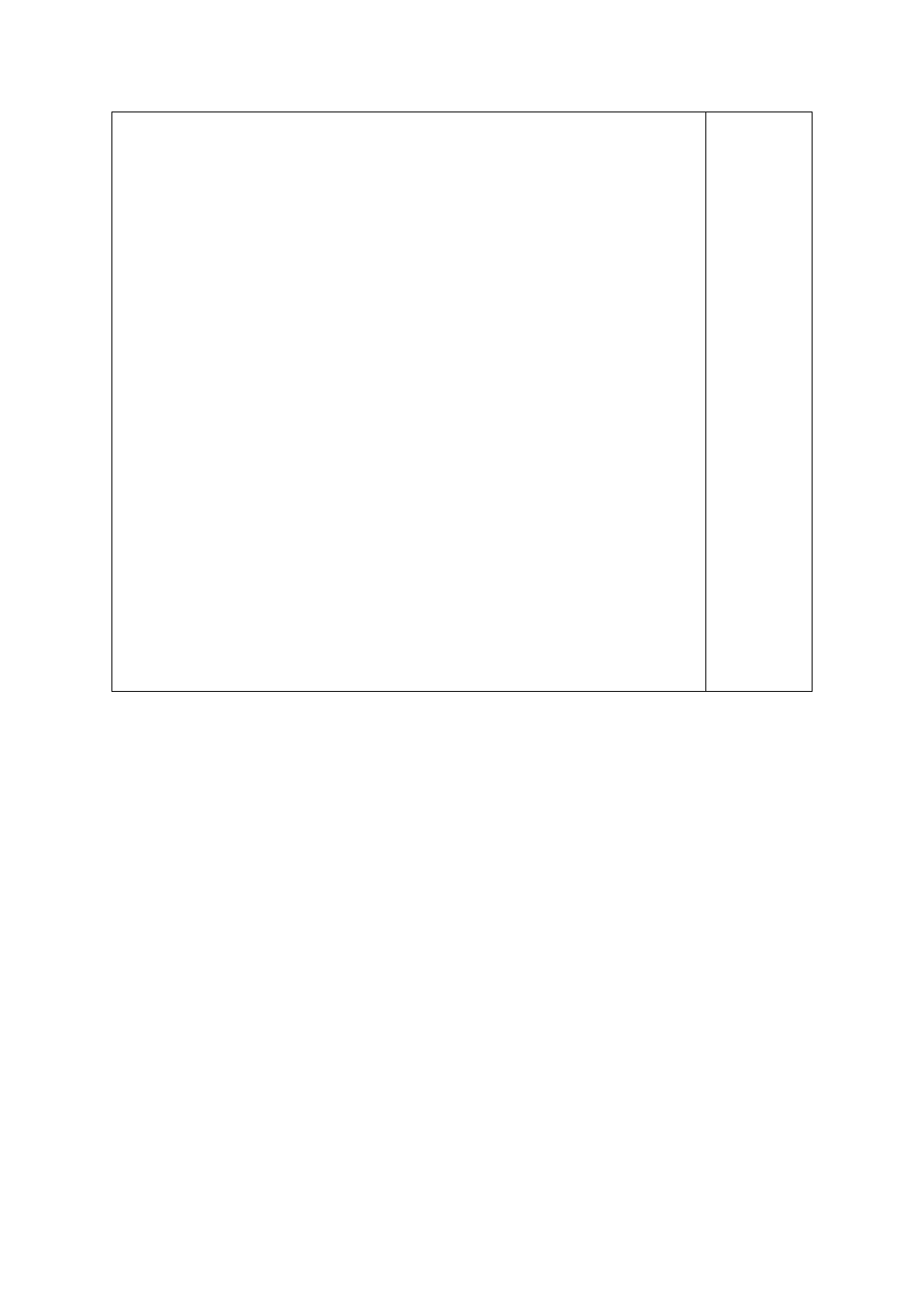